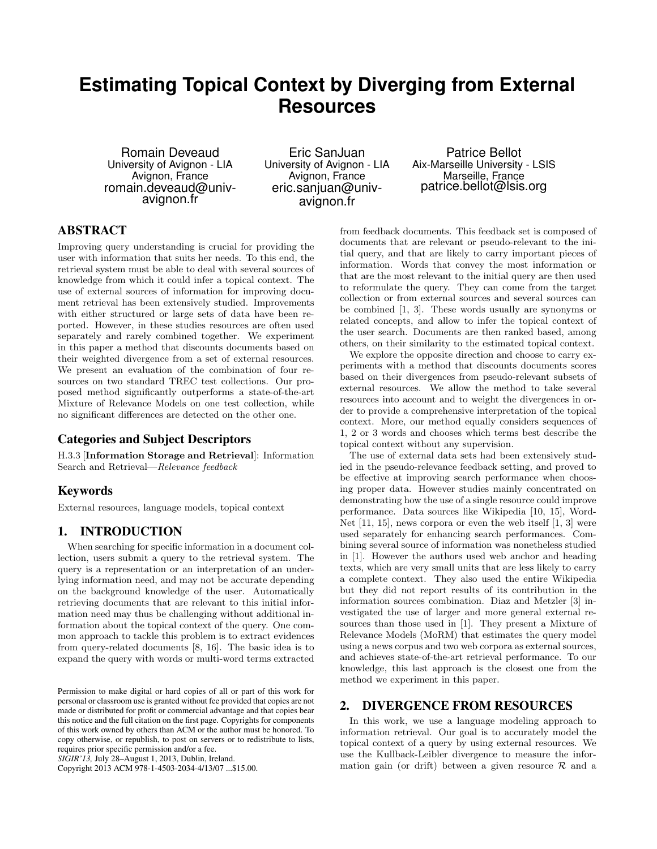# **Estimating Topical Context by Diverging from External Resources**

Romain Deveaud University of Avignon - LIA Avignon, France romain.deveaud@univavignon.fr

Eric SanJuan University of Avignon - LIA Avignon, France eric.sanjuan@univavignon.fr

Patrice Bellot Aix-Marseille University - LSIS Marseille, France patrice.bellot@lsis.org

# ABSTRACT

Improving query understanding is crucial for providing the user with information that suits her needs. To this end, the retrieval system must be able to deal with several sources of knowledge from which it could infer a topical context. The use of external sources of information for improving document retrieval has been extensively studied. Improvements with either structured or large sets of data have been reported. However, in these studies resources are often used separately and rarely combined together. We experiment in this paper a method that discounts documents based on their weighted divergence from a set of external resources. We present an evaluation of the combination of four resources on two standard TREC test collections. Our proposed method significantly outperforms a state-of-the-art Mixture of Relevance Models on one test collection, while no significant differences are detected on the other one.

# Categories and Subject Descriptors

H.3.3 [Information Storage and Retrieval]: Information Search and Retrieval—Relevance feedback

## Keywords

External resources, language models, topical context

# 1. INTRODUCTION

When searching for specific information in a document collection, users submit a query to the retrieval system. The query is a representation or an interpretation of an underlying information need, and may not be accurate depending on the background knowledge of the user. Automatically retrieving documents that are relevant to this initial information need may thus be challenging without additional information about the topical context of the query. One common approach to tackle this problem is to extract evidences from query-related documents [8, 16]. The basic idea is to expand the query with words or multi-word terms extracted

*SIGIR'13,* July 28–August 1, 2013, Dublin, Ireland.

Copyright 2013 ACM 978-1-4503-2034-4/13/07 ...\$15.00.

from feedback documents. This feedback set is composed of documents that are relevant or pseudo-relevant to the initial query, and that are likely to carry important pieces of information. Words that convey the most information or that are the most relevant to the initial query are then used to reformulate the query. They can come from the target collection or from external sources and several sources can be combined [1, 3]. These words usually are synonyms or related concepts, and allow to infer the topical context of the user search. Documents are then ranked based, among others, on their similarity to the estimated topical context.

We explore the opposite direction and choose to carry experiments with a method that discounts documents scores based on their divergences from pseudo-relevant subsets of external resources. We allow the method to take several resources into account and to weight the divergences in order to provide a comprehensive interpretation of the topical context. More, our method equally considers sequences of 1, 2 or 3 words and chooses which terms best describe the topical context without any supervision.

The use of external data sets had been extensively studied in the pseudo-relevance feedback setting, and proved to be effective at improving search performance when choosing proper data. However studies mainly concentrated on demonstrating how the use of a single resource could improve performance. Data sources like Wikipedia [10, 15], Word-Net [11, 15], news corpora or even the web itself [1, 3] were used separately for enhancing search performances. Combining several source of information was nonetheless studied in [1]. However the authors used web anchor and heading texts, which are very small units that are less likely to carry a complete context. They also used the entire Wikipedia but they did not report results of its contribution in the information sources combination. Diaz and Metzler [3] investigated the use of larger and more general external resources than those used in [1]. They present a Mixture of Relevance Models (MoRM) that estimates the query model using a news corpus and two web corpora as external sources, and achieves state-of-the-art retrieval performance. To our knowledge, this last approach is the closest one from the method we experiment in this paper.

## 2. DIVERGENCE FROM RESOURCES

In this work, we use a language modeling approach to information retrieval. Our goal is to accurately model the topical context of a query by using external resources. We use the Kullback-Leibler divergence to measure the information gain (or drift) between a given resource  $\mathcal{R}$  and a

Permission to make digital or hard copies of all or part of this work for personal or classroom use is granted without fee provided that copies are not made or distributed for profit or commercial advantage and that copies bear this notice and the full citation on the first page. Copyrights for components of this work owned by others than ACM or the author must be honored. To copy otherwise, or republish, to post on servers or to redistribute to lists, requires prior specific permission and/or a fee.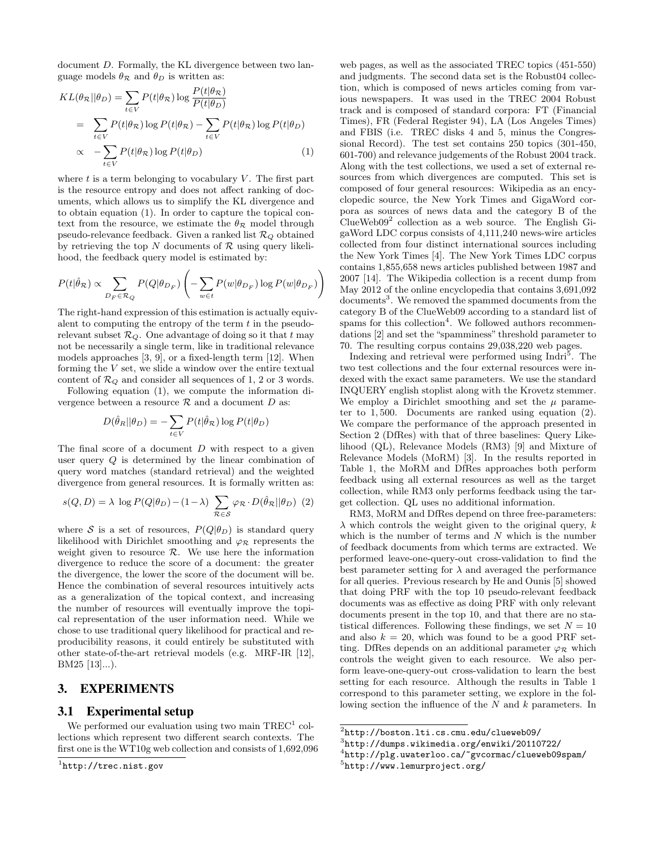document D. Formally, the KL divergence between two language models  $\theta_{\mathcal{R}}$  and  $\theta_{D}$  is written as:

$$
KL(\theta_{\mathcal{R}}||\theta_{D}) = \sum_{t \in V} P(t|\theta_{\mathcal{R}}) \log \frac{P(t|\theta_{\mathcal{R}})}{P(t|\theta_{D})}
$$
  
= 
$$
\sum_{t \in V} P(t|\theta_{\mathcal{R}}) \log P(t|\theta_{\mathcal{R}}) - \sum_{t \in V} P(t|\theta_{\mathcal{R}}) \log P(t|\theta_{D})
$$
  

$$
\propto -\sum_{t \in V} P(t|\theta_{\mathcal{R}}) \log P(t|\theta_{D})
$$
 (1)

where  $t$  is a term belonging to vocabulary  $V$ . The first part is the resource entropy and does not affect ranking of documents, which allows us to simplify the KL divergence and to obtain equation (1). In order to capture the topical context from the resource, we estimate the  $\theta_{\mathcal{R}}$  model through pseudo-relevance feedback. Given a ranked list  $\mathcal{R}_Q$  obtained by retrieving the top N documents of  $\mathcal R$  using query likelihood, the feedback query model is estimated by:

$$
P(t|\hat{\theta}_{\mathcal{R}}) \propto \sum_{D_F \in \mathcal{R}_Q} P(Q|\theta_{D_F}) \left( -\sum_{w \in t} P(w|\theta_{D_F}) \log P(w|\theta_{D_F}) \right)
$$

The right-hand expression of this estimation is actually equivalent to computing the entropy of the term  $t$  in the pseudorelevant subset  $\mathcal{R}_Q$ . One advantage of doing so it that t may not be necessarily a single term, like in traditional relevance models approaches [3, 9], or a fixed-length term [12]. When forming the  $V$  set, we slide a window over the entire textual content of  $\mathcal{R}_Q$  and consider all sequences of 1, 2 or 3 words.

Following equation (1), we compute the information divergence between a resource  $R$  and a document  $D$  as:

$$
D(\hat{\theta}_R || \theta_D) = -\sum_{t \in V} P(t | \hat{\theta}_{\mathcal{R}}) \log P(t | \theta_D)
$$

The final score of a document  $D$  with respect to a given user query Q is determined by the linear combination of query word matches (standard retrieval) and the weighted divergence from general resources. It is formally written as:

$$
s(Q, D) = \lambda \log P(Q|\theta_D) - (1 - \lambda) \sum_{\mathcal{R} \in \mathcal{S}} \varphi_{\mathcal{R}} \cdot D(\hat{\theta}_{\mathcal{R}} || \theta_D) \tag{2}
$$

where S is a set of resources,  $P(Q|\theta_D)$  is standard query likelihood with Dirichlet smoothing and  $\varphi_{\mathcal{R}}$  represents the weight given to resource  $R$ . We use here the information divergence to reduce the score of a document: the greater the divergence, the lower the score of the document will be. Hence the combination of several resources intuitively acts as a generalization of the topical context, and increasing the number of resources will eventually improve the topical representation of the user information need. While we chose to use traditional query likelihood for practical and reproducibility reasons, it could entirely be substituted with other state-of-the-art retrieval models (e.g. MRF-IR [12], BM25 [13]...).

# 3. EXPERIMENTS

#### 3.1 Experimental setup

We performed our evaluation using two main  $TREC^1$  collections which represent two different search contexts. The first one is the WT10g web collection and consists of 1,692,096 web pages, as well as the associated TREC topics (451-550) and judgments. The second data set is the Robust04 collection, which is composed of news articles coming from various newspapers. It was used in the TREC 2004 Robust track and is composed of standard corpora: FT (Financial Times), FR (Federal Register 94), LA (Los Angeles Times) and FBIS (i.e. TREC disks 4 and 5, minus the Congressional Record). The test set contains 250 topics (301-450, 601-700) and relevance judgements of the Robust 2004 track. Along with the test collections, we used a set of external resources from which divergences are computed. This set is composed of four general resources: Wikipedia as an encyclopedic source, the New York Times and GigaWord corpora as sources of news data and the category B of the  $C$ lueWeb $09<sup>2</sup>$  collection as a web source. The English GigaWord LDC corpus consists of 4,111,240 news-wire articles collected from four distinct international sources including the New York Times [4]. The New York Times LDC corpus contains 1,855,658 news articles published between 1987 and 2007 [14]. The Wikipedia collection is a recent dump from May 2012 of the online encyclopedia that contains 3,691,092 documents<sup>3</sup>. We removed the spammed documents from the category B of the ClueWeb09 according to a standard list of spams for this collection<sup>4</sup>. We followed authors recommendations [2] and set the "spamminess" threshold parameter to 70. The resulting corpus contains 29,038,220 web pages.

Indexing and retrieval were performed using Indri<sup>5</sup>. The two test collections and the four external resources were indexed with the exact same parameters. We use the standard INQUERY english stoplist along with the Krovetz stemmer. We employ a Dirichlet smoothing and set the  $\mu$  parameter to 1, 500. Documents are ranked using equation (2). We compare the performance of the approach presented in Section 2 (DfRes) with that of three baselines: Query Likelihood (QL), Relevance Models (RM3) [9] and Mixture of Relevance Models (MoRM) [3]. In the results reported in Table 1, the MoRM and DfRes approaches both perform feedback using all external resources as well as the target collection, while RM3 only performs feedback using the target collection. QL uses no additional information.

RM3, MoRM and DfRes depend on three free-parameters:  $\lambda$  which controls the weight given to the original query, k which is the number of terms and  $N$  which is the number of feedback documents from which terms are extracted. We performed leave-one-query-out cross-validation to find the best parameter setting for  $\lambda$  and averaged the performance for all queries. Previous research by He and Ounis [5] showed that doing PRF with the top 10 pseudo-relevant feedback documents was as effective as doing PRF with only relevant documents present in the top 10, and that there are no statistical differences. Following these findings, we set  $N = 10$ and also  $k = 20$ , which was found to be a good PRF setting. DfRes depends on an additional parameter  $\varphi_R$  which controls the weight given to each resource. We also perform leave-one-query-out cross-validation to learn the best setting for each resource. Although the results in Table 1 correspond to this parameter setting, we explore in the following section the influence of the N and k parameters. In

<sup>1</sup> http://trec.nist.gov

 $^2$ http://boston.lti.cs.cmu.edu/clueweb09/

 ${}^{3}$ http://dumps.wikimedia.org/enwiki/20110722/

<sup>4</sup> http://plg.uwaterloo.ca/~gvcormac/clueweb09spam/

<sup>5</sup> http://www.lemurproject.org/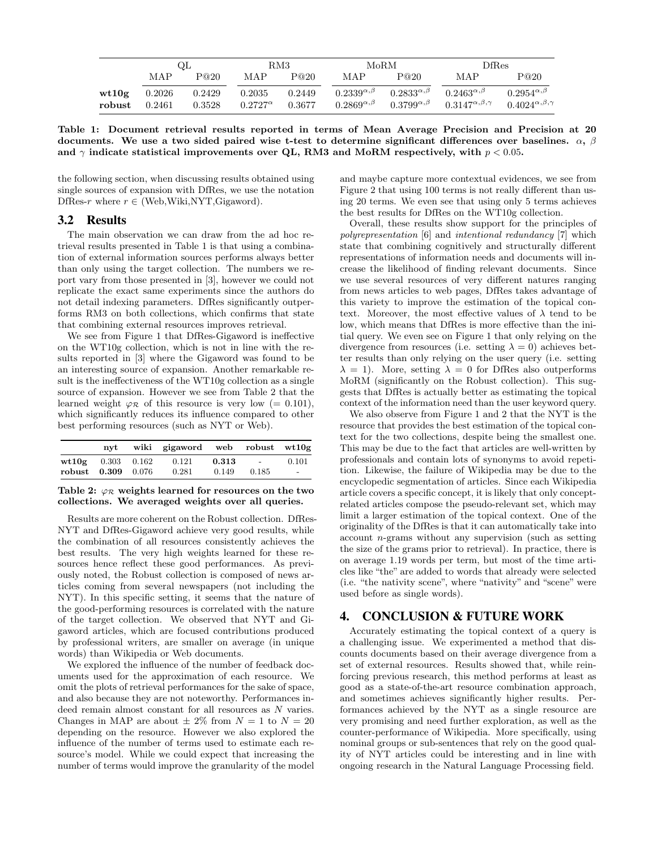|                 | IJL              |                  | RM3                         |                  | MoRM                                               |                                                    | DfRes                                                     |                                                           |
|-----------------|------------------|------------------|-----------------------------|------------------|----------------------------------------------------|----------------------------------------------------|-----------------------------------------------------------|-----------------------------------------------------------|
|                 | MAP              | P@20             | MAP                         | P@20             | MAP                                                | P@20                                               | MAP                                                       | P@20                                                      |
| wt10g<br>robust | 0.2026<br>0.2461 | 0.2429<br>0.3528 | 0.2035<br>$0.2727^{\alpha}$ | 0.2449<br>0.3677 | $0.2339^{\alpha,\beta}$<br>$0.2869^{\alpha,\beta}$ | $0.2833^{\alpha,\beta}$<br>$0.3799^{\alpha,\beta}$ | $0.2463^{\alpha,\beta}$<br>$0.3147^{\alpha,\beta,\gamma}$ | $0.2954^{\alpha,\beta}$<br>$0.4024^{\alpha,\beta,\gamma}$ |

Table 1: Document retrieval results reported in terms of Mean Average Precision and Precision at 20 documents. We use a two sided paired wise t-test to determine significant differences over baselines.  $\alpha$ ,  $\beta$ and  $\gamma$  indicate statistical improvements over QL, RM3 and MoRM respectively, with  $p < 0.05$ .

the following section, when discussing results obtained using single sources of expansion with DfRes, we use the notation DfRes-r where  $r \in$  (Web, Wiki, NYT, Gigaword).

## 3.2 Results

The main observation we can draw from the ad hoc retrieval results presented in Table 1 is that using a combination of external information sources performs always better than only using the target collection. The numbers we report vary from those presented in [3], however we could not replicate the exact same experiments since the authors do not detail indexing parameters. DfRes significantly outperforms RM3 on both collections, which confirms that state that combining external resources improves retrieval.

We see from Figure 1 that DfRes-Gigaword is ineffective on the WT10g collection, which is not in line with the results reported in [3] where the Gigaword was found to be an interesting source of expansion. Another remarkable result is the ineffectiveness of the WT10g collection as a single source of expansion. However we see from Table 2 that the learned weight  $\varphi_{\mathcal{R}}$  of this resource is very low (= 0.101), which significantly reduces its influence compared to other best performing resources (such as NYT or Web).

|                              |  | nyt wiki gigaword web robust wt10g |       |        |       |
|------------------------------|--|------------------------------------|-------|--------|-------|
| $\textbf{wt10g}$ 0.303 0.162 |  | 0.121                              | 0.313 | $\sim$ | 0.101 |
| robust 0.309 0.076           |  | 0.281                              | 0.149 | 0.185  |       |

### Table 2:  $\varphi_R$  weights learned for resources on the two collections. We averaged weights over all queries.

Results are more coherent on the Robust collection. DfRes-NYT and DfRes-Gigaword achieve very good results, while the combination of all resources consistently achieves the best results. The very high weights learned for these resources hence reflect these good performances. As previously noted, the Robust collection is composed of news articles coming from several newspapers (not including the NYT). In this specific setting, it seems that the nature of the good-performing resources is correlated with the nature of the target collection. We observed that NYT and Gigaword articles, which are focused contributions produced by professional writers, are smaller on average (in unique words) than Wikipedia or Web documents.

We explored the influence of the number of feedback documents used for the approximation of each resource. We omit the plots of retrieval performances for the sake of space, and also because they are not noteworthy. Performances indeed remain almost constant for all resources as N varies. Changes in MAP are about  $\pm 2\%$  from  $N = 1$  to  $N = 20$ depending on the resource. However we also explored the influence of the number of terms used to estimate each resource's model. While we could expect that increasing the number of terms would improve the granularity of the model and maybe capture more contextual evidences, we see from Figure 2 that using 100 terms is not really different than using 20 terms. We even see that using only 5 terms achieves the best results for DfRes on the WT10g collection.

Overall, these results show support for the principles of polyrepresentation [6] and intentional redundancy [7] which state that combining cognitively and structurally different representations of information needs and documents will increase the likelihood of finding relevant documents. Since we use several resources of very different natures ranging from news articles to web pages, DfRes takes advantage of this variety to improve the estimation of the topical context. Moreover, the most effective values of  $\lambda$  tend to be low, which means that DfRes is more effective than the initial query. We even see on Figure 1 that only relying on the divergence from resources (i.e. setting  $\lambda = 0$ ) achieves better results than only relying on the user query (i.e. setting  $\lambda = 1$ ). More, setting  $\lambda = 0$  for DfRes also outperforms MoRM (significantly on the Robust collection). This suggests that DfRes is actually better as estimating the topical context of the information need than the user keyword query.

We also observe from Figure 1 and 2 that the NYT is the resource that provides the best estimation of the topical context for the two collections, despite being the smallest one. This may be due to the fact that articles are well-written by professionals and contain lots of synonyms to avoid repetition. Likewise, the failure of Wikipedia may be due to the encyclopedic segmentation of articles. Since each Wikipedia article covers a specific concept, it is likely that only conceptrelated articles compose the pseudo-relevant set, which may limit a larger estimation of the topical context. One of the originality of the DfRes is that it can automatically take into account n-grams without any supervision (such as setting the size of the grams prior to retrieval). In practice, there is on average 1.19 words per term, but most of the time articles like "the" are added to words that already were selected (i.e. "the nativity scene", where "nativity" and "scene" were used before as single words).

# 4. CONCLUSION & FUTURE WORK

Accurately estimating the topical context of a query is a challenging issue. We experimented a method that discounts documents based on their average divergence from a set of external resources. Results showed that, while reinforcing previous research, this method performs at least as good as a state-of-the-art resource combination approach, and sometimes achieves significantly higher results. Performances achieved by the NYT as a single resource are very promising and need further exploration, as well as the counter-performance of Wikipedia. More specifically, using nominal groups or sub-sentences that rely on the good quality of NYT articles could be interesting and in line with ongoing research in the Natural Language Processing field.